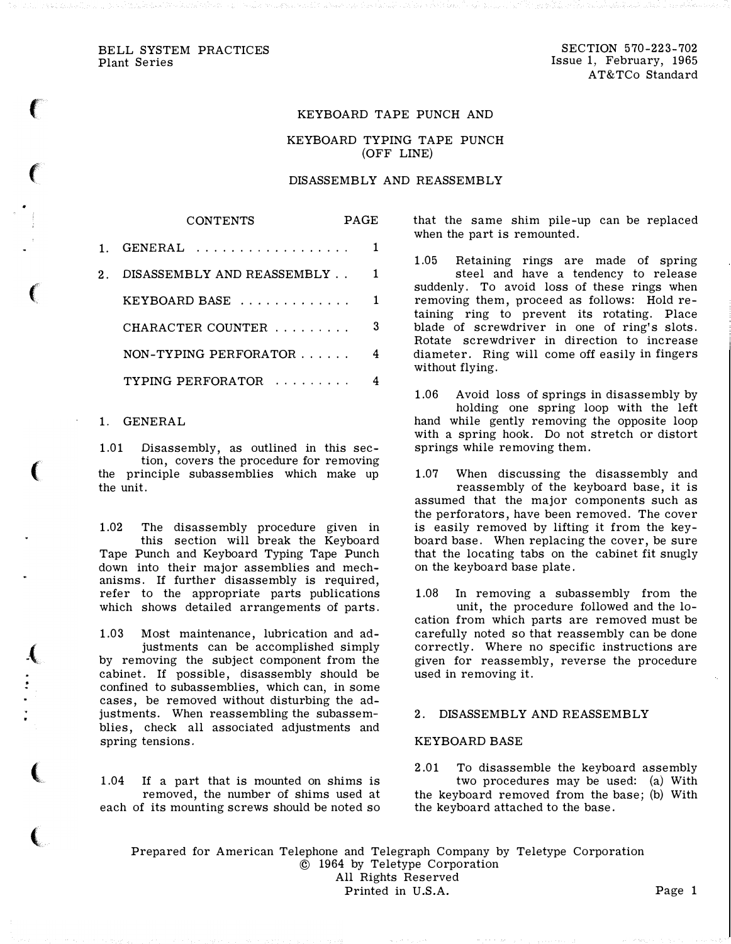BELL SYSTEM PRACTICES Plant Series

 $\left($ 

 $\epsilon$ 

 $\left(\begin{array}{c} 0 \ 0 \end{array}\right)$ 

 $\left($ 

 $\mathbf{f}_i$ 

 $\left($ 

(

SECTION 570-223-702 Issue 1, February, 1965 A T&TCo Standard

## KEYBOARD TAPE PUNCH AND

KEYBOARD TYPING TAPE PUNCH (OFF LINE)

#### DISASSEMBLY AND REASSEMBLY

|    | <b>CONTENTS</b>            | <b>PAGE</b> |   |
|----|----------------------------|-------------|---|
|    | GENERAL                    |             |   |
| 2. | DISASSEMBLY AND REASSEMBLY |             | 1 |
|    | KEYBOARD BASE              |             |   |
|    | CHARACTER COUNTER          |             | 3 |
|    | NON-TYPING PERFORATOR      |             |   |
|    | TYPING PERFORATOR          |             |   |

#### 1. GENERAL

1.01 Disassembly, as outlined in this section, covers the procedure for removing the principle subassemblies which make up the unit.

1.02 The disassembly procedure given in this section will break the Keyboard Tape Punch and Keyboard Typing Tape Punch down into their major assemblies and mechanisms. If further disassembly is required, refer to the appropriate parts publications which shows detailed arrangements of parts.

1.03 Most maintenance, lubrication and adjustments can be accomplished simply by removing the subject component from the cabinet. If possible, disassembly should be confined to subassemblies, which can, in some cases, be removed without disturbing the adjustments. When reassembling the subassemblies, check all associated adjustments and spring tensions.

1.04 If a part that is mounted on shims is removed, the number of shims used at each of its mounting screws should be noted so

that the same shim pile-up can be replaced when the part is remounted.

1.05 Retaining rings are made of spring steel and have a tendency to release suddenly. To avoid loss of these rings when removing them, proceed as follows: Hold retaining ring to prevent its rotating. Place blade of screwdriver in one of ring's slots. Rotate screwdriver in direction to increase diameter. Ring will come off easily in fingers without flying.

1.06 Avoid loss of springs in disassembly by holding one spring loop with the left hand while gently removing the opposite loop with a spring hook. Do not stretch or distort springs while removing them.

1.07 When discussing the disassembly and reassembly of the keyboard base, it is assumed that the major components such as the perforators, have been removed. The cover is easily removed by lifting it from the keyboard base. When replacing the cover, be sure that the locating tabs on the cabinet fit snugly on the keyboard base plate.

1.08 In removing a subassembly from the unit, the procedure followed and the location from which parts are removed must be carefully noted so that reassembly can be done correctly. Where no specific instructions are given for reassembly, reverse the procedure used in removing it.

## 2. DISASSEMBLY AND REASSEMBLY

#### KEYBOARD BASE

2.01 To disassemble the keyboard assembly two procedures may be used: (a) With the keyboard removed from the base; (b) With the keyboard attached to the base.

Prepared for American Telephone and Telegraph Company by Teletype Corporation © 1964 by Teletype Corporation All Rights Reserved Printed in U.S.A. Page 1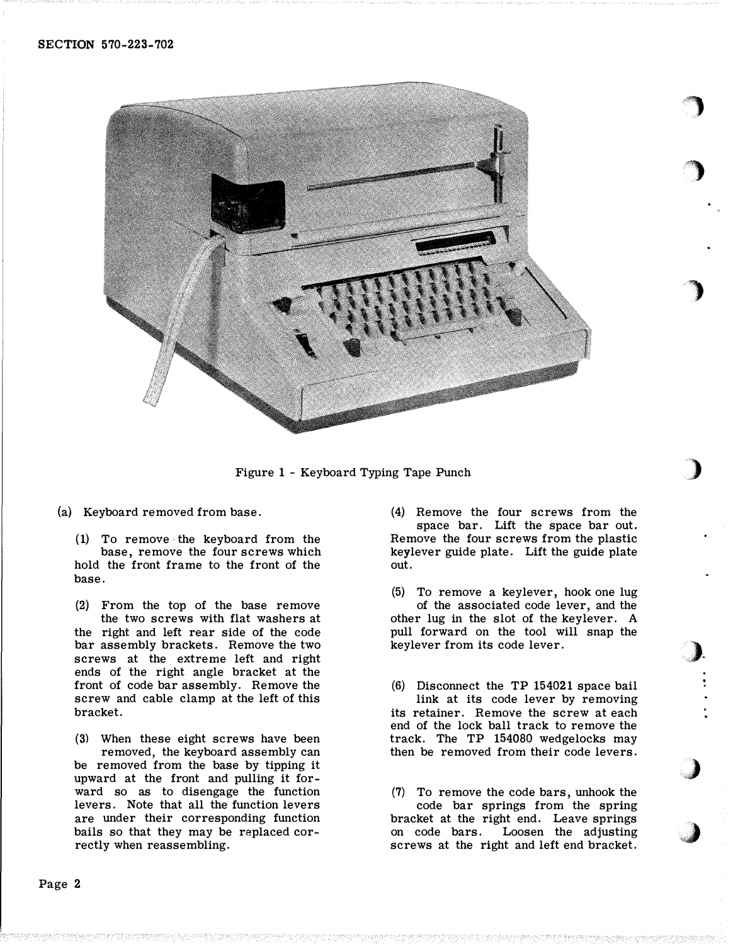

Figure <sup>1</sup>- Keyboard Typing Tape Punch

(a) Keyboard removed from base.

(1) To remove the keyboard from the base, remove the four screws which hold the front frame to the front of the base.

(2) From the top of the base remove the two screws with flat washers at the right and left rear side of the code bar assembly brackets. Remove the two screws at the extreme left and right ends of the right angle bracket at the front of code bar assembly. Remove the screw and cable clamp at the left of this bracket.

(3) When these eight screws have been removed, the keyboard assembly can be removed from the base by tipping it upward at the front and pulling it forward so as to disengage the function levers. Note that all the function levers are under their corresponding function bails so that they may be replaced correctly when reassembling.

(4) Remove the four screws from the space bar. Lift the space bar out. Remove the four screws from the plastic keylever guide plate. Lift the guide plate out.

**)** 

£")

)

)

�)-

,)

J

- (5) To remove a keylever, hook one lug of the associated code lever, and the other lug in the slot of the key lever. A pull forward on the tool will snap the keylever from its code lever.
- (6) Disconnect the TP 154021 space bail link at its code lever by removing its retainer. Remove the screw at each end of the lock ball track to remove the track. The TP 154080 wedgelocks may then be removed from their code levers.
- (7) To remove the code bars, unhook the code bar springs from the spring bracket at the right end. Leave springs on code bars. Loosen the adjusting screws at the right and left end bracket.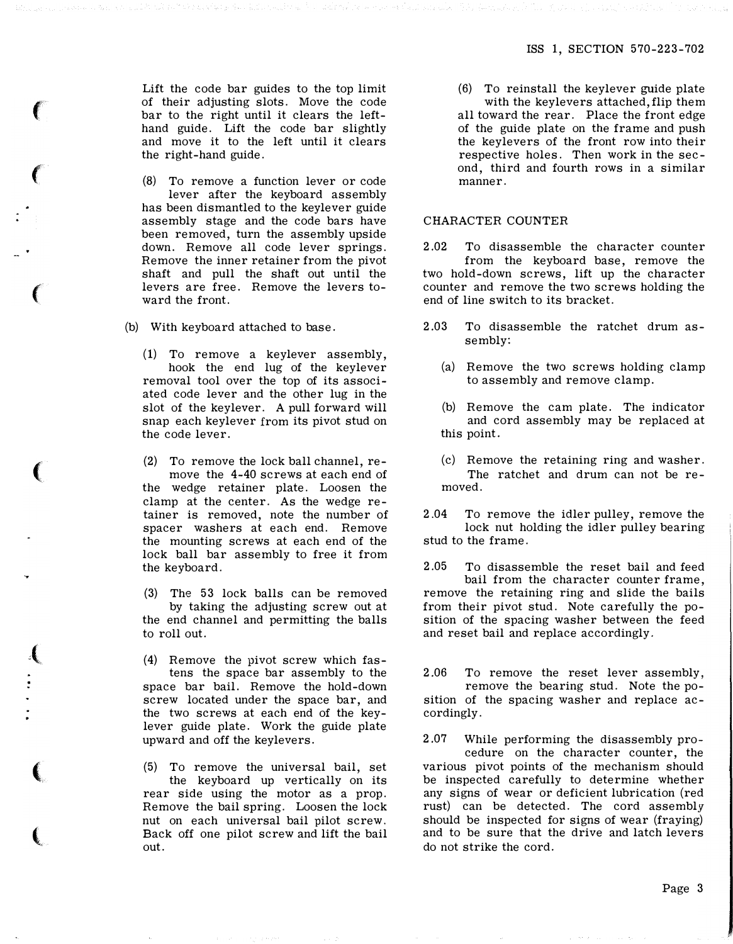Lift the code bar guides to the top limit of their adjusting slots. Move the code bar to the right until it clears the lefthand guide. Lift the code bar slightly and move it to the left until it clears the right-hand guide.

 $\epsilon$ 

 $\left($ 

 $\big($ 

 $\left(\rule{-2pt}{10pt}\right.$ 

 $\left($ 

(

 $\left($ 

(8) To remove a function lever or code lever after the keyboard assembly has been dismantled to the keylever guide assembly stage and the code bars have been removed, turn the assembly upside down. Remove all code lever springs. Remove the inner retainer from the pivot shaft and pull the shaft out until the levers are free. Remove the levers toward the front.

(b) With keyboard attached to base.

(1) To remove a keylever assembly, hook the end lug of the keylever removal tool over the top of its associated code lever and the other lug in the slot of the keylever. A pull forward will snap each keylever from its pivot stud on the code lever.

(2) To remove the lock ball channel, remove the 4-40 screws at each end of the wedge retainer plate. Loosen the clamp at the center. As the wedge retainer is removed, note the number of spacer washers at each end. Remove the mounting screws at each end of the lock ball bar assembly to free it from the keyboard.

(3) The 53 lock balls can be removed by taking the adjusting screw out at the end channel and permitting the balls to roll out.

(4) Remove the pivot screw which fastens the space bar assembly to the space bar bail. Remove the hold-down screw located under the space bar, and the two screws at each end of the keylever guide plate. Work the guide plate upward and off the keylevers.

(5) To remove the universal bail, set the keyboard up vertically on its rear side using the motor as a prop. Remove the bail spring. Loosen the lock nut on each universal bail pilot screw. Back off one pilot screw and lift the bail out.

(6) To reinstall the keylever guide plate with the keylevers attached, flip them all toward the rear. Place the front edge of the guide plate on the frame and push the keylevers of the front row into their respective holes. Then work in the second, third and fourth rows in a similar manner.

#### CHARACTER COUNTER

2.02 To disassemble the character counter from the keyboard base, remove the two hold-down screws, lift up the character counter and remove the two screws holding the end of line switch to its bracket.

- 2.03 To disassemble the ratchet drum assembly:
	- (a) Remove the two screws holding clamp to assembly and remove clamp.
	- (b) Remove the cam plate. The indicator and cord assembly may be replaced at this point.
	- (c) Remove the retaining ring and washer. The ratchet and drum can not be removed.

2.04 To remove the idler pulley, remove the lock nut holding the idler pulley bearing stud to the frame.

2 .05 To disassemble the reset bail and feed bail from the character counter frame, remove the retaining ring and slide the bails from their pivot stud. Note carefully the position of the spacing washer between the feed and reset bail and replace accordingly.

2.06 To remove the reset lever assembly, remove the bearing stud. Note the position of the spacing washer and replace accordingly.

2 .07 While performing the disassembly procedure on the character counter, the various pivot points of the mechanism should be inspected carefully to determine whether any signs of wear or deficient lubrication (red rust) can be detected. The cord assembly should be inspected for signs of wear (fraying) and to be sure that the drive and latch levers do not strike the cord.